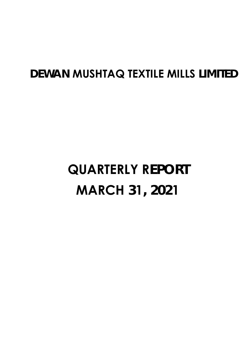## **DEWAN MUSHTAQ TEXTILE MILLS LIMITED**

# **QUARTERLY REPORT MARCH 31, 2021**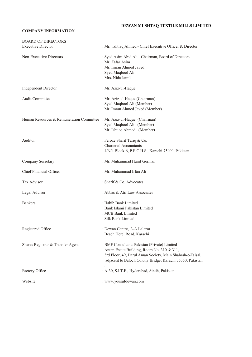#### **DEWAN MUSHTAQ TEXTILE MILLS LIMITED**

#### **COMPANY INFORMATION**

| <b>BOARD OF DIRECTORS</b>                                               |                                                                                                                                                                                                                     |
|-------------------------------------------------------------------------|---------------------------------------------------------------------------------------------------------------------------------------------------------------------------------------------------------------------|
| <b>Executive Director</b>                                               | : Mr. Ishtiaq Ahmed - Chief Executive Officer & Director                                                                                                                                                            |
| Non-Executive Directors                                                 | : Syed Asim Abid Ali - Chairman, Board of Directors<br>Mr. Zafar Asim<br>Mr. Imran Ahmed Javed<br>Syed Maqbool Ali<br>Mrs. Nida Jamil                                                                               |
| <b>Independent Director</b>                                             | : Mr. Aziz-ul-Haque                                                                                                                                                                                                 |
| <b>Audit Committee</b>                                                  | : Mr. Aziz-ul-Haque (Chairman)<br>Syed Maqbool Ali (Member)<br>Mr. Imran Ahmed Javed (Member)                                                                                                                       |
| Human Resources & Remuneration Committee : Mr. Aziz-ul-Haque (Chairman) | Syed Maqbool Ali (Member)<br>Mr. Ishtiaq Ahmed (Member)                                                                                                                                                             |
| Auditor                                                                 | : Feroze Sharif Tariq & Co.<br><b>Chartered Accountants</b><br>4/N/4 Block-6, P.E.C.H.S., Karachi 75400, Pakistan.                                                                                                  |
| Company Secretary                                                       | : Mr. Muhammad Hanif German                                                                                                                                                                                         |
| Chief Financial Officer                                                 | : Mr. Muhammad Irfan Ali                                                                                                                                                                                            |
| Tax Advisor                                                             | : Sharif & Co. Advocates                                                                                                                                                                                            |
| Legal Advisor                                                           | : Abbas & Atif Law Associates                                                                                                                                                                                       |
| <b>Bankers</b>                                                          | : Habib Bank Limited<br>: Bank Islami Pakistan Limited<br>: MCB Bank Limited<br>: Silk Bank Limited                                                                                                                 |
| Registered Office                                                       | : Dewan Centre, 3-A Lalazar<br>Beach Hotel Road, Karachi                                                                                                                                                            |
| Shares Registrar & Transfer Agent                                       | : BMF Consultants Pakistan (Private) Limited<br>Anum Estate Building, Room No. 310 & 311,<br>3rd Floor, 49, Darul Aman Society, Main Shahrah-e-Faisal,<br>adjacent to Baloch Colony Bridge, Karachi 75350, Pakistan |
| Factory Office                                                          | : A-30, S.I.T.E., Hyderabad, Sindh, Pakistan.                                                                                                                                                                       |
| Website                                                                 | : www.yousufdewan.com                                                                                                                                                                                               |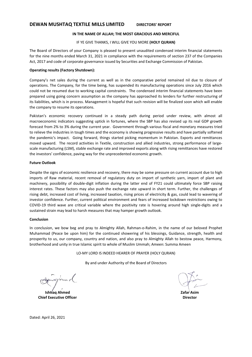### **DEWAN MUSHTAQ TEXTILE MILLS LIMITED DIRECTORS' REPORT**

#### **IN THE NAME OF ALLAH; THE MOST GRACIOUS AND MERCIFUL**

#### IF YE GIVE THANKS, I WILL GIVE YOU MORE **(HOLY QURAN)**

The Board of Directors of your Company is pleased to present unaudited condensed interim financial statements for the nine months ended March 31, 2021 in compliance with the requirements of section 237 of the Companies Act, 2017 and code of corporate governance issued by Securities and Exchange Commission of Pakistan.

#### **Operating results (Factory Shutdown):**

Company's net sales during the current as well as in the comparative period remained nil due to closure of operations. The Company, for the time being, has suspended its manufacturing operations since July 2016 which could not be resumed due to working capital constraints. The condensed interim financial statements have been prepared using going concern assumption as the company has approached its lenders for further restructuring of its liabilities, which is in process. Management is hopeful that such revision will be finalized soon which will enable the company to resume its operations.

Pakistan's economic recovery continued in a steady path during period under review, with almost all macroeconomic indicators suggesting uptick in fortunes, where the SBP has also revised up its real GDP growth forecast from 2% to 3% during the current year. Government through various fiscal and monetary measures tried to relieve the industries in tough times and the economy is showing progressive results and have partially softened the pandemic's impact. Going forward, things started picking momentum in Pakistan. Exports and remittances moved upward. The record activities in Textile, construction and allied industries, strong performance of largescale manufacturing (LSM), stable exchange rate and improved exports along with rising remittances have restored the investors' confidence, paving way for the unprecedented economic growth.

#### **Future Outlook**

Despite the signs of economic resilience and recovery, there may be some pressure on current account due to high imports of Raw material, recent removal of regulatory duty on import of synthetic yarn, import of plant and machinery, possibility of double-digit inflation during the latter end of FY21 could ultimately force SBP raising interest rates. These factors may also push the exchange rate upward in short term. Further, the challenges of rising debt, increased cost of living, increased taxation, rising prices of electricity & gas, could lead to wavering of investor confidence. Further, current political environment and fears of increased lockdown restrictions owing to COVID‐19 third wave are critical variable where the positivity rate is hovering around high single‐digits and a sustained strain may lead to harsh measures that may hamper growth outlook.

#### **Conclusion**

In conclusion, we bow beg and pray to Almighty Allah, Rahman-o-Rahim, in the name of our beloved Prophet Muhammad (Peace be upon him) for the continued showering of his blessings, Guidance, strength, health and prosperity to us, our company, country and nation, and also pray to Almighty Allah to bestow peace, Harmony, brotherhood and unity in true Islamic spirit to whole of Muslim Ummah; Ameen: Summa Ameen

LO‐MY LORD IS INDEED HEARER OF PRAYER (HOLY QURAN)

By and under Authority of the Board of Directors

**Ishtiaq Ahmed Chief Executive Officer** 

**Zafar Asim Director** 

Dated: April 26, 2021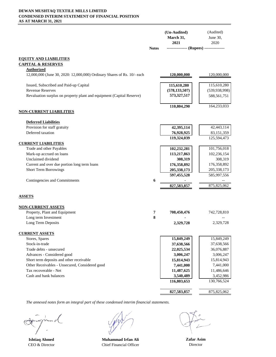#### **DEWAN MUSHTAQ TEXTILE MILLS LIMITED CONDENSED INTERIM STATEMENT OF FINANCIAL POSITION AS AT MARCH 31, 2021**

|                                                                         | <b>Notes</b> | (Un-Audited)<br>March 31,<br>2021<br>--------------- (Rupees) --------------- | (Audited)<br>June 30,<br>2020 |
|-------------------------------------------------------------------------|--------------|-------------------------------------------------------------------------------|-------------------------------|
|                                                                         |              |                                                                               |                               |
| <u>EQUITY AND LIABILITIES</u>                                           |              |                                                                               |                               |
| <b>CAPITAL &amp; RESERVES</b>                                           |              |                                                                               |                               |
| <b>Authorized</b>                                                       |              |                                                                               |                               |
| 12,000,000 (June 30, 2020: 12,000,000) Ordinary Shares of Rs. 10/- each |              | 120,000,000                                                                   | 120,000,000                   |
| Issued, Subscribed and Paid-up Capital                                  |              | 115,610,280                                                                   | 115,610,280                   |
| <b>Revenue Reserves</b>                                                 |              | (578, 133, 507)                                                               | (539, 938, 998)               |
| Revaluation surplus on property plant and equipment (Capital Reserve)   |              | 573,327,517                                                                   | 588,561,751                   |
|                                                                         |              |                                                                               |                               |
|                                                                         |              | 110,804,290                                                                   | 164,233,033                   |
| <u>NON-CURRENT LIABILITIES</u>                                          |              |                                                                               |                               |
| <b>Deferred Liabilities</b>                                             |              |                                                                               |                               |
| Provision for staff gratuity                                            |              | 42,395,114                                                                    | 42,443,114                    |
| Deferred taxation                                                       |              | 76,928,925                                                                    | 83,151,359                    |
|                                                                         |              | 119,324,039                                                                   | 125,594,473                   |
| <b>CURRENT LIABILITIES</b><br>Trade and other Payables                  |              | 102,232,281                                                                   | 101,756,018                   |
| Mark-up accrued on loans                                                |              | 113,217,863                                                                   | 102,236,154                   |
| Unclaimed dividend                                                      |              | 308,319                                                                       | 308,319                       |
| Current and over due portion long term loans                            |              | 176,358,892                                                                   | 176,358,892                   |
| <b>Short Term Borrowings</b>                                            |              | 205, 338, 173                                                                 | 205,338,173                   |
|                                                                         |              | 597,455,528                                                                   | 585,997,556                   |
| Contingencies and Commitments                                           | 6            |                                                                               |                               |
|                                                                         |              | 827,583,857                                                                   | 875, 825, 062                 |
| <b>ASSETS</b>                                                           |              |                                                                               |                               |
| <b>NON-CURRENT ASSETS</b>                                               |              |                                                                               |                               |
| Property, Plant and Equipment                                           | 7            | 708,450,476                                                                   | 742,728,810                   |
| Long term Investment                                                    | 8            |                                                                               |                               |
| Long Term Deposits                                                      |              | 2,329,728                                                                     | 2,329,728                     |
|                                                                         |              |                                                                               |                               |
| <b>CURRENT ASSETS</b><br>Stores, Spares                                 |              | 15,849,249                                                                    | 15,849,249                    |
| Stock-in-trade                                                          |              | 37,638,566                                                                    | 37,638,566                    |
| Trade debts - unsecured                                                 |              | 22,025,534                                                                    | 36,076,887                    |
| Advances - Considered good                                              |              | 3,006,247                                                                     | 3,006,247                     |
| Short term deposits and other receivable                                |              | 15,814,943                                                                    | 15,814,943                    |
| Other Receivables - Unsecured, Considered good                          |              | 7,441,000                                                                     | 7,441,000                     |
| Tax recoverable - Net                                                   |              | 11,487,625                                                                    | 11,486,646                    |
| Cash and bank balances                                                  |              | 3,540,489                                                                     | 3,452,986                     |
|                                                                         |              | 116,803,653                                                                   | 130,766,524                   |
|                                                                         |              | 827,583,857                                                                   | 875, 825, 062                 |
|                                                                         |              |                                                                               |                               |

**Ishtiaq Ahmed Muhammad Irfan Ali** CEO & Director Chief Financial Officer

**Zafar Asim** Director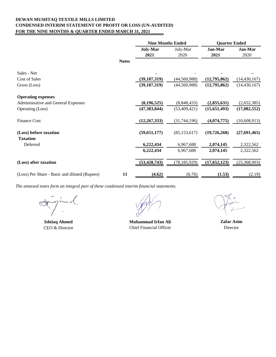#### **DEWAN MUSHTAQ TEXTILE MILLS LIMITED CONDENSED INTERIM STATEMENT OF PROFIT OR LOSS (UN-AUDITED) FOR THE NINE MONTHS & QUARTER ENDED MARCH 31, 2021**

|                                               |              | <b>Nine Months Ended</b> |                  | <b>Quarter Ended</b> |                 |
|-----------------------------------------------|--------------|--------------------------|------------------|----------------------|-----------------|
|                                               |              | <b>July-Mar</b><br>2021  | July-Mar<br>2020 | Jan-Mar<br>2021      | Jan-Mar<br>2020 |
|                                               | <b>Notes</b> |                          |                  |                      |                 |
| Sales - Net                                   |              |                          |                  |                      |                 |
| Cost of Sales                                 |              | (39, 187, 319)           | (44, 560, 988)   | (12,795,862)         | (14, 430, 167)  |
| Gross (Loss)                                  |              | (39, 187, 319)           | (44, 560, 988)   | (12,795,862)         | (14, 430, 167)  |
| <b>Operating expenses</b>                     |              |                          |                  |                      |                 |
| Administrative and General Expenses           |              | (8, 196, 525)            | (8,848,433)      | (2,855,631)          | (2,652,385)     |
| Operating (Loss)                              |              | (47, 383, 844)           | (53, 409, 421)   | (15,651,493)         | (17, 082, 552)  |
| <b>Finance Cost</b>                           |              | (12, 267, 333)           | (31,744,196)     | (4,074,775)          | (10,608,913)    |
| (Loss) before taxation<br><b>Taxation</b>     |              | (59, 651, 177)           | (85, 153, 617)   | (19,726,268)         | (27,691,465)    |
| Deferred                                      |              | 6,222,434                | 6,967,688        | 2,074,145            | 2,322,562       |
|                                               |              | 6,222,434                | 6,967,688        | 2,074,145            | 2,322,562       |
| (Loss) after taxation                         |              | (53, 428, 743)           | (78, 185, 929)   | (17, 652, 123)       | (25,368,903)    |
| (Loss) Per Share - Basic and diluted (Rupees) | 11           | (4.62)                   | (6.76)           | (1.53)               | (2.19)          |

nu v

**Ishtiaq Ahmed** CEO & Director

**Muhammad Irfan Ali Zafar Asim** Chief Financial Officer

Director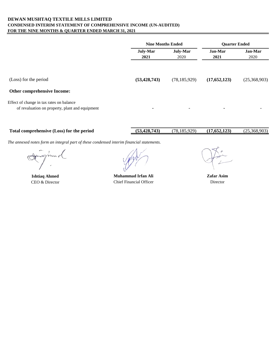#### **DEWAN MUSHTAQ TEXTILE MILLS LIMITED CONDENSED INTERIM STATEMENT OF COMPREHENSIVE INCOME (UN-AUDITED) FOR THE NINE MONTHS & QUARTER ENDED MARCH 31, 2021**

|                                                                                             | <b>Nine Months Ended</b>                    |                          | <b>Ouarter Ended</b> |                 |
|---------------------------------------------------------------------------------------------|---------------------------------------------|--------------------------|----------------------|-----------------|
|                                                                                             | <b>July-Mar</b><br>July-Mar<br>2021<br>2020 |                          | Jan-Mar<br>2021      | Jan-Mar<br>2020 |
| (Loss) for the period<br><b>Other comprehensive Income:</b>                                 | (53, 428, 743)                              | (78, 185, 929)           | (17,652,123)         | (25,368,903)    |
| Effect of change in tax rates on balance<br>of revaluation on property, plant and equipment | $\blacksquare$                              | $\overline{\phantom{0}}$ |                      |                 |

| l comprehensive (Loss) for the period<br>Fotal | (53, 428, 743) | 929.<br>10 <sub>F</sub><br>70<br>$\sim$ | $\sqrt{2}$<br>123 <sub>1</sub><br>$\sim$<br>.02 | 903<br>-368.<br>$\sqrt{2}E$ |
|------------------------------------------------|----------------|-----------------------------------------|-------------------------------------------------|-----------------------------|
|                                                |                |                                         |                                                 |                             |

**Ishtiaq Ahmed**

CEO & Director **Chief Financial Officer Director Director Muhammad Irfan Ali**

**Zafar Asim**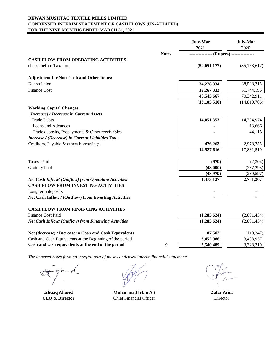#### **DEWAN MUSHTAQ TEXTILE MILLS LIMITED CONDENSED INTERIM STATEMENT OF CASH FLOWS (UN-AUDITED) FOR THE NINE MONTHS ENDED MARCH 31, 2021**

|                                                                                                    |              | July-Mar<br>2021                 | <b>July-Mar</b><br>2020 |
|----------------------------------------------------------------------------------------------------|--------------|----------------------------------|-------------------------|
|                                                                                                    | <b>Notes</b> | --------------- (Rupees) ------- |                         |
| <b>CASH FLOW FROM OPERATING ACTIVITIES</b>                                                         |              |                                  |                         |
| (Loss) before Taxation                                                                             |              | (59, 651, 177)                   | (85, 153, 617)          |
| <b>Adjustment for Non-Cash and Other Items:</b>                                                    |              |                                  |                         |
| Depreciation                                                                                       |              | 34,278,334                       | 38,598,715              |
| Finance Cost                                                                                       |              | 12,267,333                       | 31,744,196              |
|                                                                                                    |              | 46,545,667                       | 70,342,911              |
|                                                                                                    |              | (13, 105, 510)                   | (14,810,706)            |
| <b>Working Capital Changes</b>                                                                     |              |                                  |                         |
| (Increase) / Decrease in Current Assets                                                            |              |                                  |                         |
| <b>Trade Debts</b>                                                                                 |              | 14,051,353                       | 14,794,974              |
| <b>Loans and Advances</b>                                                                          |              |                                  | 13,666                  |
| Trade deposits, Prepayments & Other receivables                                                    |              |                                  | 44,115                  |
| Increase / (Decrease) in Current Liabilities Trade                                                 |              |                                  |                         |
| Creditors, Payable & others borrowings                                                             |              | 476,263                          | 2,978,755               |
|                                                                                                    |              | 14,527,616                       | 17,831,510              |
| Taxes Paid                                                                                         |              | (979)                            | (2, 304)                |
| <b>Gratuity Paid</b>                                                                               |              | (48,000)                         | (237, 293)              |
|                                                                                                    |              | (48,979)                         | (239, 597)              |
| Net Cash Inflow/ (Outflow) from Operating Activities<br><b>CASH FLOW FROM INVESTING ACTIVITIES</b> |              | 1,373,127                        | 2,781,207               |
| Long term deposits                                                                                 |              |                                  |                         |
| Net Cash Inflow / (Outflow) from Investing Activities                                              |              |                                  |                         |
| <b>CASH FLOW FROM FINANCING ACTIVITIES</b>                                                         |              |                                  |                         |
| <b>Finance Cost Paid</b>                                                                           |              | (1,285,624)                      | (2,891,454)             |
| Net Cash Inflow/ (Outflow) from Financing Activities                                               |              | (1,285,624)                      | (2,891,454)             |
| Net (decrease) / Increase in Cash and Cash Equivalents                                             |              | 87,503                           | (110, 247)              |
| Cash and Cash Equivalents at the Beginning of the period                                           |              | 3,452,986                        | 3,438,957               |
| Cash and cash equivalents at the end of the period                                                 | 9            | 3,540,489                        | 3,328,710               |

**Ishtiaq Ahmed CEO & Director**

**Muhammad Irfan Ali** Chief Financial Officer

**Zafar Asim** Director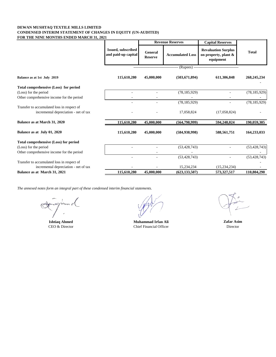#### **DEWAN MUSHTAQ TEXTILE MILLS LIMITED CONDENSED INTERIM STATEMENT OF CHANGES IN EQUITY (UN-AUDITED) FOR THE NINE MONTHS ENDED MARCH 31, 2021**

|                                                                                     |                                           | <b>Revenue Reserves</b>          |                              | <b>Capital Reserves</b>                                         |                |
|-------------------------------------------------------------------------------------|-------------------------------------------|----------------------------------|------------------------------|-----------------------------------------------------------------|----------------|
|                                                                                     | Issued, subscribed<br>and paid-up capital | <b>General</b><br><b>Reserve</b> | <b>Accumulated Loss</b>      | <b>Revaluation Surplus</b><br>on property, plant &<br>equipment | <b>Total</b>   |
|                                                                                     |                                           |                                  | (Rupees) ------------------- |                                                                 |                |
| Balance as at 1st July 2019                                                         | 115,610,280                               | 45,000,000                       | (503, 671, 894)              | 611,306,848                                                     | 268, 245, 234  |
| Total comprehensive (Loss) for period                                               |                                           |                                  |                              |                                                                 |                |
| (Loss) for the period                                                               |                                           |                                  | (78, 185, 929)               |                                                                 | (78, 185, 929) |
| Other comprehensive income for the period                                           |                                           |                                  |                              |                                                                 |                |
|                                                                                     |                                           |                                  | (78, 185, 929)               |                                                                 | (78, 185, 929) |
| Transfer to accumulated loss in respect of<br>incremental depreciation - net of tax |                                           |                                  | 17,058,824                   | (17,058,824)                                                    |                |
| Balance as at March 31, 2020                                                        | 115,610,280                               | 45,000,000                       | (564, 798, 999)              | 594,248,024                                                     | 190,059,305    |
| Balance as at July 01, 2020                                                         | 115,610,280                               | 45,000,000                       | (584, 938, 998)              | 588,561,751                                                     | 164,233,033    |
| Total comprehensive (Loss) for period                                               |                                           |                                  |                              |                                                                 |                |
| (Loss) for the period                                                               |                                           |                                  | (53, 428, 743)               |                                                                 | (53, 428, 743) |
| Other comprehensive income for the period                                           |                                           |                                  |                              |                                                                 |                |
|                                                                                     |                                           |                                  | (53, 428, 743)               |                                                                 | (53, 428, 743) |
| Transfer to accumulated loss in respect of                                          |                                           |                                  |                              |                                                                 |                |
| incremental depreciation - net of tax                                               |                                           |                                  | 15,234,234                   | (15, 234, 234)                                                  |                |
| Balance as at March 31, 2021                                                        | 115,610,280                               | 45,000,000                       | (623, 133, 507)              | 573,327,517                                                     | 110,804,290    |

 $m \ell$ 

**Ishtiaq Ahmed**<br> **CEO & Director**<br> **CEO & Director**<br> **CHECO & Director**<br> **CHECO & Director** Chief Financial Officer

**Zafar Asim** Director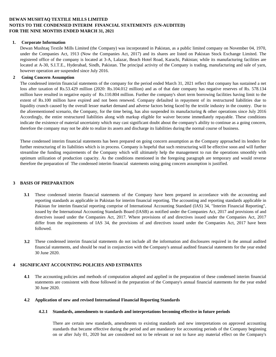#### **DEWAN MUSHTAQ TEXTILE MILLS LIMITED NOTES TO THE CONDENSED INTERIM FINANCIAL STATEMENTS (UN-AUDITED) FOR THE NINE MONTHS ENDED MARCH 31, 2021**

#### **1. Corporate Information**

Dewan Mushtaq Textile Mills Limited (the Company) was incorporated in Pakistan, as a public limited company on November 04, 1970, under the Companies Act, 1913 (Now the Companies Act, 2017) and its shares are listed on Pakistan Stock Exchange Limited. The registered office of the company is located at 3-A, Lalazar, Beach Hotel Road, Karachi, Pakistan; while its manufacturing facilities are located at A-30, S.I.T.E., Hyderabad, Sindh, Pakistan. The principal activity of the Company is trading, manufacturing and sale of yarn, however operation are suspended since July 2016.

#### **2 Going Concern Assumption**

The condensed interim financial statements of the company for the period ended March 31, 2021 reflect that company has sustained a net loss after taxation of Rs.53.429 million (2020: Rs.104.012 million) and as of that date company has negative reserves of Rs. 578.134 million have resulted in negative equity of Rs.110.804 million. Further the company's short term borrowing facilities having limit to the extent of Rs.100 million have expired and not been renewed. Company defaulted in repayment of its restructured liabilities due to liquidity crunch caused by the overall lesser market demand and adverse factors being faced by the textile industry in the country. Due to the aforementioned scenario, the Company, for the time being, has also suspended its manufacturing & other operations since July 2016 Accordingly, the entire restructured liabilities along with markup eligible for waiver become immediately repayable. These conditions indicate the existence of material uncertainty which may cast significant doubt about the company's ability to continue as a going concern, therefore the company may not be able to realize its assets and discharge its liabilities during the normal course of business.

These condensed interim financial statements has been prepared on going concern assumption as the Company approached its lenders for further restructuring of its liabilities which is in process. Company is hopeful that such restructuring will be effective soon and will further streamline the funding requirements of the Company which will ultimately help the management to run the operations smoothly with optimum utilization of production capacity. As the conditions mentioned in the foregoing paragraph are temporary and would reverse therefore the preparation of The condensed interim financial statements using going concern assumption is justified.

#### **3 BASIS OF PREPARATION**

- **3.1** These condensed interim financial statements of the Company have been prepared in accordance with the accounting and reporting standards as applicable in Pakistan for interim financial reporting. The accounting and reporting standards applicable in Pakistan for interim financial reporting comprise of International Accounting Standard (IAS) 34, "Interim Financial Reporting", issued by the International Accounting Standards Board (IASB) as notified under the Companies Act, 2017 and provisions of and directives issued under the Companies Act, 2017. Where provisions of and directives issued under the Companies Act, 2017 differ from the requirements of IAS 34, the provisions of and directives issued under the Companies Act, 2017 have been followed.
- **3.2** These condensed interim financial statements do not include all the information and disclosures required in the annual audited financial statements, and should be read in conjunction with the Company's annual audited financial statements for the year ended 30 June 2020.

#### **4 SIGNIFICANT ACCOUNTING POLICIES AND ESTIMATES**

**4.1** The accounting policies and methods of computation adopted and applied in the preparation of these condensed interim financial statements are consistent with those followed in the preparation of the Company's annual financial statements for the year ended 30 June 2020.

#### **4.2 Application of new and revised International Financial Reporting Standards**

#### **4.2.1 Standards, amendments to standards and interpretations becoming effective in future periods**

There are certain new standards, amendments to existing standards and new interpretations on approved accounting standards that became effective during the period and are mandatory for accounting periods of the Company beginning on or after July 01, 2020 but are considered not to be relevant or not to have any material effect on the Company's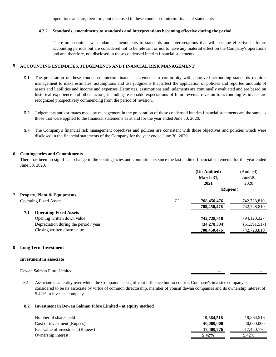operations and are, therefore, not disclosed in these condensed interim financial statements.

#### **4.2.2 Standards, amendments to standards and interpretations becoming effective during the period**

There are certain new standards, amendments to standards and interpretations that will became effective in future accounting periods but are considered not to be relevant or not to have any material effect on the Company's operations and are, therefore, not disclosed in these condensed interim financial statements.

#### **5 ACCOUNTING ESTIMATES, JUDGEMENTS AND FINANCIAL RISK MANAGEMENT**

- **5.1** The preparation of these condensed interim financial statements in conformity with approved accounting standards requires management to make estimates, assumptions and use judgments that affect the application of policies and reported amounts of assets and liabilities and income and expenses. Estimates, assumptions and judgments are continually evaluated and are based on historical experience and other factors, including reasonable expectations of future events. revision to accounting estimates are recognized prospectively commencing from the period of revision.
- **5.2** Judgements and estimates made by management in the preparation of these condensed interim financial statements are the same as those that were applied to the financial statements as at and for the year ended June 30, 2020.
- **5.3** The Company's financial risk management objectives and policies are consistent with those objectives and policies which were disclosed in the financial statements of the Company for the year ended June 30, 2020

#### **6 Contingencies and Commitments**

There has been no significant change in the contingencies and commitments since the last audited financial statements for the year ended June 30, 2020.

|     |                                        |     | (Un-Audited)<br>March 31, | (Audited)<br>June'30 |
|-----|----------------------------------------|-----|---------------------------|----------------------|
|     |                                        |     | 2021                      | 2020                 |
|     |                                        |     | (Rupees)                  |                      |
|     | <b>Proprty, Plant &amp; Equipments</b> |     |                           |                      |
|     | <b>Operating Fixed Assets</b>          | 7.1 | 708,450,476               | 742,728,810          |
|     |                                        |     | 708,450,476               | 742,728,810          |
| 7.1 | <b>Operating Fixed Assets</b>          |     |                           |                      |
|     | Opening written down value             |     | 742,728,810               | 794,120,327          |
|     | Depreciation during the period / year  |     | (34, 278, 334)            | (51,391,517)         |
|     | Closing written down value             |     | 708,450,476               | 742,728,810          |
|     |                                        |     |                           |                      |

#### **8 Long Term Investment**

#### **Investment in associate**

Dewan Salman Fibre Limited

**8.1** Associate is an entity over which the Company has significant influence but no control. Company's investee company is considered to be its associate by virtue of common directorship, member of yousuf dewan companies and its ownership interest of 5.42% in investee company.

#### **8.2 Investment in Dewan Salman Fibre Limited - at equity method**

| Number of shares held             | 19,864,518 | 19.864.518 |
|-----------------------------------|------------|------------|
| Cost of investment (Rupees)       | 40,000,000 | 40,000,000 |
| Fair value of investment (Rupees) | 17.480.776 | 17.480.776 |
| Ownership interest                | $5.42\%$   | 5.42%      |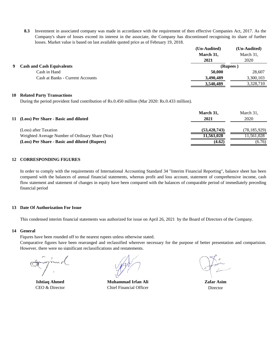**8.3** Investment in associated company was made in accordance with the requirement of then effective Companies Act, 2017. As the Company's share of losses exceed its interest in the associate, the Company has discontinued recognising its share of further losses. Market value is based on last available quoted price as of February 19, 2018.

|                                  | (Un-Audited) | (Un-Audited) |
|----------------------------------|--------------|--------------|
|                                  | March 31,    | March 31,    |
|                                  | 2021         | 2020         |
| <b>Cash and Cash Equivalents</b> | (Rupees)     |              |
| Cash in Hand                     | 50,000       | 28,607       |
| Cash at Banks - Current Accounts | 3,490,489    | 3,300,103    |
|                                  | 3,540,489    | 3,328,710    |

#### **10 Related Party Transactions**

During the period provident fund contribution of Rs.0.450 million (Mar 2020: Rs.0.433 million).

| 11 (Loss) Per Share - Basic and diluted         | March 31,<br>2021 | March 31,<br>2020 |
|-------------------------------------------------|-------------------|-------------------|
| (Loss) after Taxation                           | (53, 428, 743)    | (78, 185, 929)    |
| Weighted Average Number of Ordinary Share (Nos) | 11.561.028        | 1.561.028         |
| (Loss) Per Share - Basic and diluted (Rupees)   | (4.62)            | (6.76)            |

#### **12 CORRESPONDING FIGURES**

In order to comply with the requirements of International Accounting Standard 34 "Interim Financial Reporting", balance sheet has been compared with the balances of annual financial statements, whereas profit and loss account, statement of comprehensive income, cash flow statement and statement of changes in equity have been compared with the balances of comparable period of immediately preceding financial period

#### **13 Date Of Authorization For Issue**

This condensed interim financial statements was authorized for issue on April 26, 2021 by the Board of Directors of the Company.

#### **14 General**

Fiqures have been rounded off to the nearest rupees unless otherwise stated.

Comparative figures have been rearranged and reclassified wherever necessary for the purpose of better presentation and comparision. However, there were no significant reclassifications and restatements.

 $\sqrt{2}$ 

**Ishtiaq Ahmed** CEO & Director

**Muhammad Irfan Ali** Chief Financial Officer

Director **Zafar Asim**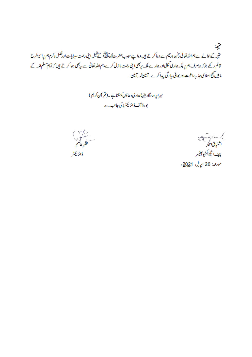يحية منتیجہ کےحوالے ہے ہم اللہ تعالیٰ رحمٰن ورحیم ہے دعا کرتے ہیں وہا پنے حبیب حضرت مجم<sup>حقاق</sup> کے کیفیل اپنی رحمت، ہدایات اورفضل وکرم ہم پراسی طرح قائم رکھے جوکہ بن*صر*ف ہم پر بلکہ ہماری کمپنی اور ہمارے ملک پربھی اپنی رحمت م**ا زل** کرے،ہم اللہ تعالیٰ ہے بہ<sup>بھی</sup> دعا کرتے ہیں کہ تمام مسلم اتمہ کے ما بین صحیح اسلامی جذبہ اخوت اور بھائی جا رگ پیدا کرے۔آمین ثمہ آمین۔

> میراپر وردگاریقیناً ہاری دعاؤں کوسنتاہے۔(قرآن کریم) بورڈ آف ڈائر یکٹرز کی جانب ہے



)، ۱۰۰۰۰ سارے ہے<br>اشتیاف حم چیف *ایگزیکیٹی*و آفیسر

مورعه: 26 اپریل 2021ء